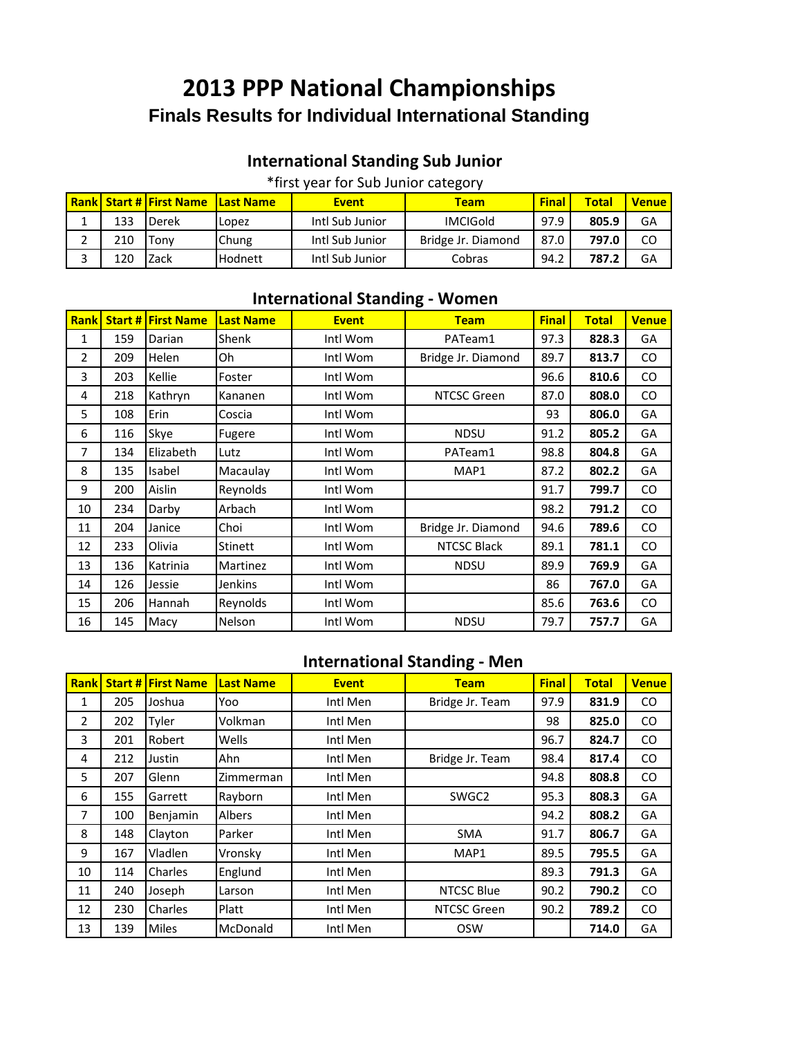# **Finals Results for Individual International Standing 2013 PPP National Championships**

#### **International Standing Sub Junior**

#### \*first year for Sub Junior category

|     | <b>Rank Start # First Name</b> | <b>ILast Name</b> | <b>Event</b>    | <b>Team</b>        | <b>Final</b> | Total | <b>Venue</b> |
|-----|--------------------------------|-------------------|-----------------|--------------------|--------------|-------|--------------|
| 133 | <b>I</b> Derek                 | Lopez             | Intl Sub Junior | <b>IMCIGold</b>    | 97.9         | 805.9 | GA           |
| 210 | Fonv                           | Chung             | Intl Sub Junior | Bridge Jr. Diamond | 87.0         | 797.0 | CO           |
|     | <sup>7</sup> ack               | Hodnett           | Intl Sub Junior | Cobras             | 94.2         | 787.2 | GA           |

#### **International Standing - Women**

| <b>Rank</b>    | Start # | <b>First Name</b> | <b>Last Name</b> | <b>Event</b> | ັ<br><b>Team</b>   | <b>Final</b> | <b>Total</b> | <b>Venue</b> |
|----------------|---------|-------------------|------------------|--------------|--------------------|--------------|--------------|--------------|
| 1              | 159     | Darian            | Shenk            | Intl Wom     | PATeam1            | 97.3         | 828.3        | GA           |
| $\overline{2}$ | 209     | Helen             | Oh               | Intl Wom     | Bridge Jr. Diamond | 89.7         | 813.7        | CO           |
| 3              | 203     | Kellie            | Foster           | Intl Wom     |                    | 96.6         | 810.6        | CO           |
| 4              | 218     | Kathryn           | Kananen          | Intl Wom     | NTCSC Green        | 87.0         | 808.0        |              |
| 5              | 108     | Erin              | Coscia           | Intl Wom     |                    | 93           | 806.0        | GA           |
| 6              | 116     | Skye              | Fugere           | Intl Wom     | <b>NDSU</b>        | 91.2         | 805.2        | GA           |
| 7              | 134     | Elizabeth         | Lutz             | Intl Wom     | PATeam1            | 98.8         | 804.8        | GA           |
| 8              | 135     | Isabel            | Macaulay         | Intl Wom     | MAP1               | 87.2         | 802.2        | GA           |
| 9              | 200     | Aislin            | Reynolds         | Intl Wom     |                    | 91.7         | 799.7        | CO           |
| 10             | 234     | Darby             | Arbach           | Intl Wom     |                    | 98.2         | 791.2        | CO           |
| 11             | 204     | Janice            | Choi             | Intl Wom     | Bridge Jr. Diamond | 94.6         | 789.6        | CO           |
| 12             | 233     | Olivia            | Stinett          | Intl Wom     | <b>NTCSC Black</b> | 89.1         | 781.1        | CO           |
| 13             | 136     | Katrinia          | Martinez         | Intl Wom     | <b>NDSU</b>        | 89.9         | 769.9        | GA           |
| 14             | 126     | Jessie            | <b>Jenkins</b>   | Intl Wom     |                    | 86           | 767.0        | GA           |
| 15             | 206     | Hannah            | Reynolds         | Intl Wom     |                    | 85.6         | 763.6        | CO.          |
| 16             | 145     | Macy              | Nelson           | Intl Wom     | <b>NDSU</b>        | 79.7         | 757.7        | GA           |

#### **International Standing - Men**

| Rank           |     | <b>Start # First Name</b> | <b>Last Name</b> | <b>Event</b> | <b>Team</b>        | <b>Final</b> | <b>Total</b> | <b>Venue</b> |
|----------------|-----|---------------------------|------------------|--------------|--------------------|--------------|--------------|--------------|
| 1              | 205 | Joshua                    | Yoo              | Intl Men     | Bridge Jr. Team    | 97.9         | 831.9        | CO.          |
| $\overline{2}$ | 202 | Tyler                     | Volkman          | Intl Men     |                    | 98           | 825.0        | CO.          |
| 3              | 201 | Robert                    | Wells            | Intl Men     |                    | 96.7         | 824.7        | CO           |
| 4              | 212 | Justin                    | Ahn              | Intl Men     | Bridge Jr. Team    | 98.4         | 817.4        | CO.          |
| 5              | 207 | Glenn                     | Zimmerman        | Intl Men     |                    | 94.8         | 808.8        | CO.          |
| 6              | 155 | Garrett                   | Rayborn          | Intl Men     | SWGC2              | 95.3         | 808.3        | GA           |
| 7              | 100 | Benjamin                  | Albers           | Intl Men     |                    | 94.2         | 808.2        | GA           |
| 8              | 148 | Clayton                   | Parker           | Intl Men     | <b>SMA</b>         | 91.7         | 806.7        | GA           |
| 9              | 167 | Vladlen                   | Vronsky          | Intl Men     | MAP1               | 89.5         | 795.5        | GA           |
| 10             | 114 | <b>Charles</b>            | Englund          | Intl Men     |                    | 89.3         | 791.3        | GA           |
| 11             | 240 | Joseph                    | Larson           | Intl Men     | <b>NTCSC Blue</b>  | 90.2         | 790.2        | CO.          |
| 12             | 230 | <b>Charles</b>            | Platt            | Intl Men     | <b>NTCSC Green</b> | 90.2         | 789.2        | CO.          |
| 13             | 139 | <b>Miles</b>              | McDonald         | Intl Men     | <b>OSW</b>         |              | 714.0        | GA           |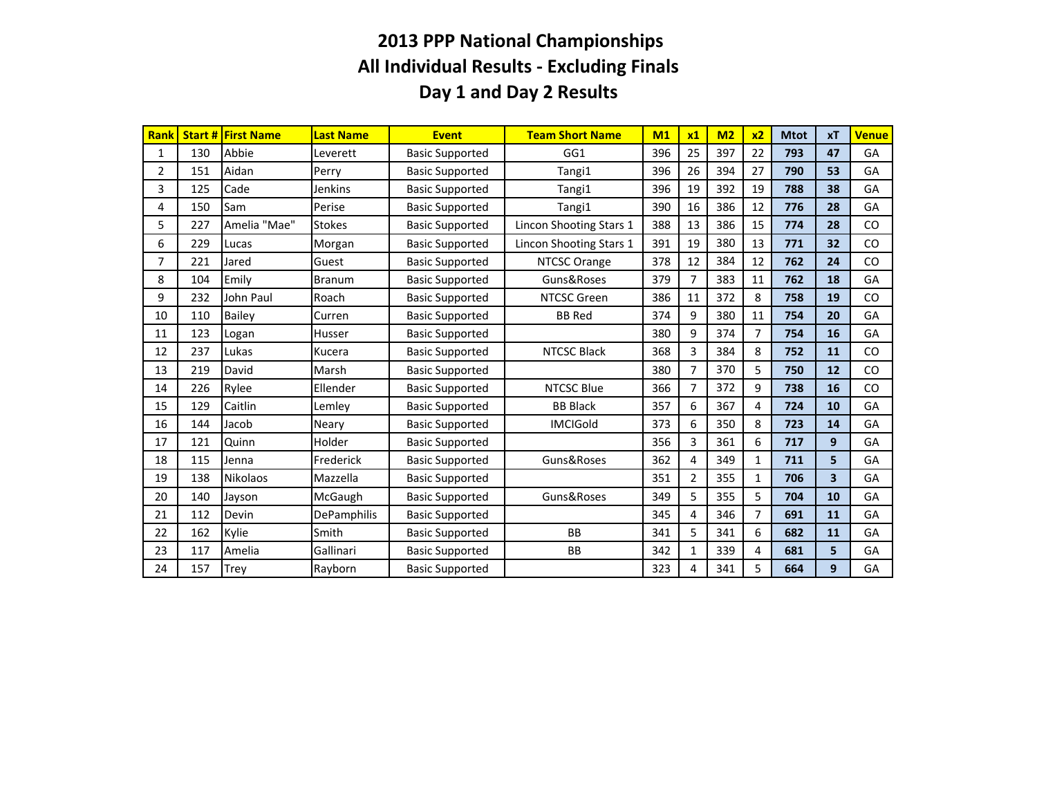| Rank |     | <b>Start # First Name</b> | <b>Last Name</b>   | <b>Event</b>           | <b>Team Short Name</b>  | M1  | x1             | M <sub>2</sub> | x <sub>2</sub> | <b>Mtot</b> | xT | <b>Venue</b> |
|------|-----|---------------------------|--------------------|------------------------|-------------------------|-----|----------------|----------------|----------------|-------------|----|--------------|
| 1    | 130 | Abbie                     | Leverett           | <b>Basic Supported</b> | GG1                     | 396 | 25             | 397            | 22             | 793         | 47 | GA           |
| 2    | 151 | Aidan                     | Perry              | <b>Basic Supported</b> | Tangi1                  | 396 | 26             | 394            | 27             | 790         | 53 | GA           |
| 3    | 125 | Cade                      | Jenkins            | <b>Basic Supported</b> | Tangi1                  | 396 | 19             | 392            | 19             | 788         | 38 | GA           |
| 4    | 150 | Sam                       | Perise             | <b>Basic Supported</b> | Tangi1                  | 390 | 16             | 386            | 12             | 776         | 28 | GA           |
| 5    | 227 | Amelia "Mae"              | <b>Stokes</b>      | <b>Basic Supported</b> | Lincon Shooting Stars 1 | 388 | 13             | 386            | 15             | 774         | 28 | CO           |
| 6    | 229 | Lucas                     | Morgan             | <b>Basic Supported</b> | Lincon Shooting Stars 1 | 391 | 19             | 380            | 13             | 771         | 32 | <b>CO</b>    |
| 7    | 221 | Jared                     | Guest              | <b>Basic Supported</b> | NTCSC Orange            | 378 | 12             | 384            | 12             | 762         | 24 | CO           |
| 8    | 104 | Emily                     | <b>Branum</b>      | <b>Basic Supported</b> | Guns&Roses              | 379 | 7              | 383            | 11             | 762         | 18 | GA           |
| 9    | 232 | John Paul                 | Roach              | <b>Basic Supported</b> | <b>NTCSC Green</b>      | 386 | 11             | 372            | 8              | 758         | 19 | CO           |
| 10   | 110 | <b>Bailey</b>             | Curren             | <b>Basic Supported</b> | <b>BB Red</b>           | 374 | 9              | 380            | 11             | 754         | 20 | GA           |
| 11   | 123 | Logan                     | Husser             | <b>Basic Supported</b> |                         | 380 | 9              | 374            | 7              | 754         | 16 | GA           |
| 12   | 237 | Lukas                     | Kucera             | <b>Basic Supported</b> | <b>NTCSC Black</b>      | 368 | 3              | 384            | 8              | 752         | 11 | CO           |
| 13   | 219 | David                     | Marsh              | <b>Basic Supported</b> |                         | 380 | 7              | 370            | 5              | 750         | 12 | CO           |
| 14   | 226 | Rylee                     | Ellender           | <b>Basic Supported</b> | <b>NTCSC Blue</b>       | 366 | 7              | 372            | 9              | 738         | 16 | CO           |
| 15   | 129 | Caitlin                   | Lemley             | <b>Basic Supported</b> | <b>BB Black</b>         | 357 | 6              | 367            | 4              | 724         | 10 | GA           |
| 16   | 144 | Jacob                     | Neary              | <b>Basic Supported</b> | <b>IMCIGold</b>         | 373 | 6              | 350            | 8              | 723         | 14 | GA           |
| 17   | 121 | Quinn                     | Holder             | <b>Basic Supported</b> |                         | 356 | 3              | 361            | 6              | 717         | 9  | GA           |
| 18   | 115 | Jenna                     | Frederick          | <b>Basic Supported</b> | Guns&Roses              | 362 | 4              | 349            | $\mathbf{1}$   | 711         | 5  | GA           |
| 19   | 138 | <b>Nikolaos</b>           | Mazzella           | <b>Basic Supported</b> |                         | 351 | $\overline{2}$ | 355            | $\mathbf{1}$   | 706         | 3  | GA           |
| 20   | 140 | Jayson                    | McGaugh            | <b>Basic Supported</b> | Guns&Roses              | 349 | 5              | 355            | 5              | 704         | 10 | GA           |
| 21   | 112 | Devin                     | <b>DePamphilis</b> | <b>Basic Supported</b> |                         | 345 | 4              | 346            | 7              | 691         | 11 | GA           |
| 22   | 162 | Kylie                     | Smith              | <b>Basic Supported</b> | <b>BB</b>               | 341 | 5              | 341            | 6              | 682         | 11 | GA           |
| 23   | 117 | Amelia                    | Gallinari          | <b>Basic Supported</b> | <b>BB</b>               | 342 | 1              | 339            | 4              | 681         | 5  | GA           |
| 24   | 157 | <b>Trey</b>               | Rayborn            | <b>Basic Supported</b> |                         | 323 | 4              | 341            | 5              | 664         | 9  | GA           |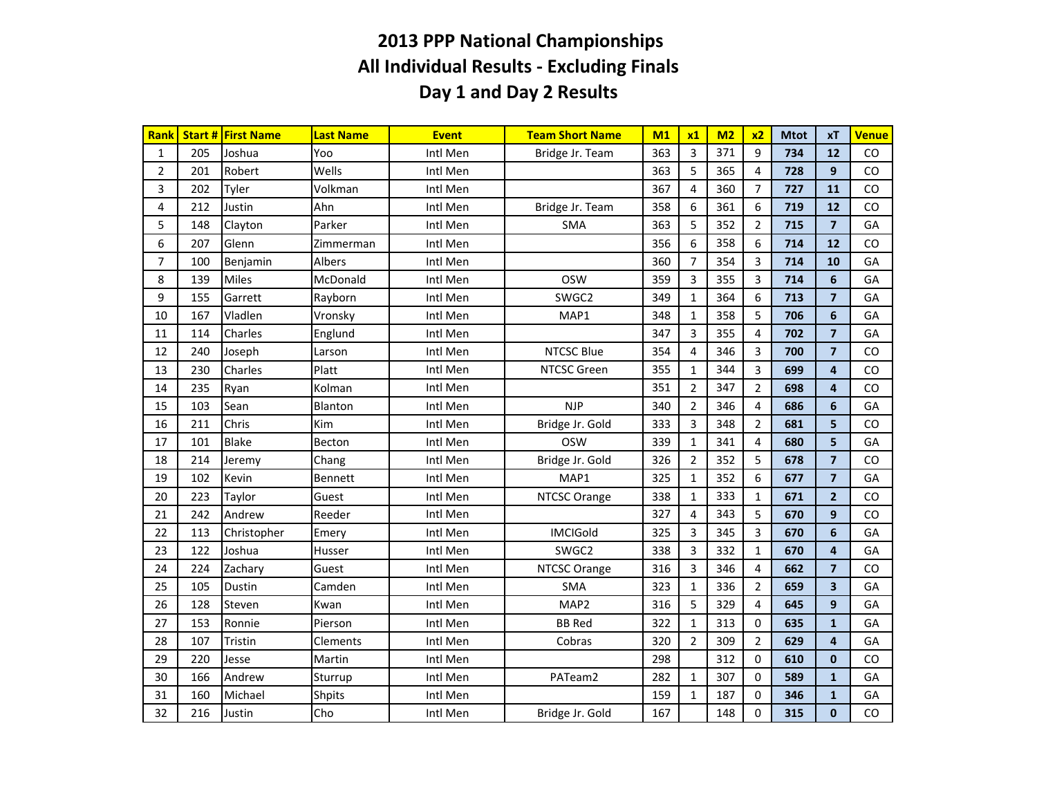| Rank |     | <b>Start # First Name</b> | <b>Last Name</b> | <b>Event</b> | <b>Team Short Name</b> | M <sub>1</sub> | x1                      | M <sub>2</sub> | x <sub>2</sub> | <b>Mtot</b> | xT                      | <b>Venue</b> |
|------|-----|---------------------------|------------------|--------------|------------------------|----------------|-------------------------|----------------|----------------|-------------|-------------------------|--------------|
| 1    | 205 | Joshua                    | Yoo              | Intl Men     | Bridge Jr. Team        | 363            | 3                       | 371            | 9              | 734         | 12                      | CO.          |
| 2    | 201 | Robert                    | Wells            | Intl Men     |                        | 363            | 5                       | 365            | 4              | 728         | 9                       | CO           |
| 3    | 202 | Tyler                     | Volkman          | Intl Men     |                        | 367            | 4                       | 360            | 7              | 727         | 11                      | <b>CO</b>    |
| 4    | 212 | Justin                    | Ahn              | Intl Men     | Bridge Jr. Team        | 358            | 6                       | 361            | 6              | 719         | 12                      | CO           |
| 5    | 148 | Clayton                   | Parker           | Intl Men     | <b>SMA</b>             | 363            | 5                       | 352            | $\overline{2}$ | 715         | $\overline{7}$          | GA           |
| 6    | 207 | Glenn                     | Zimmerman        | Intl Men     |                        | 356            | 6                       | 358            | 6              | 714         | 12                      | CO           |
| 7    | 100 | Benjamin                  | Albers           | Intl Men     |                        | 360            | 7                       | 354            | 3              | 714         | 10                      | GA           |
| 8    | 139 | <b>Miles</b>              | McDonald         | Intl Men     | <b>OSW</b>             | 359            | 3                       | 355            | 3              | 714         | 6                       | GA           |
| 9    | 155 | Garrett                   | Rayborn          | Intl Men     | SWGC2                  | 349            | $\mathbf{1}$            | 364            | 6              | 713         | $\overline{7}$          | GA           |
| 10   | 167 | Vladlen                   | Vronsky          | Intl Men     | MAP1                   | 348            | $\mathbf{1}$            | 358            | 5              | 706         | 6                       | GA           |
| 11   | 114 | Charles                   | Englund          | Intl Men     |                        | 347            | 3                       | 355            | 4              | 702         | $\overline{7}$          | GA           |
| 12   | 240 | Joseph                    | Larson           | Intl Men     | <b>NTCSC Blue</b>      | 354            | 4                       | 346            | 3              | 700         | $\overline{7}$          | CO           |
| 13   | 230 | Charles                   | Platt            | Intl Men     | <b>NTCSC Green</b>     | 355            | $\mathbf{1}$            | 344            | 3              | 699         | 4                       | CO           |
| 14   | 235 | Ryan                      | Kolman           | Intl Men     |                        | 351            | $\overline{2}$          | 347            | $\overline{2}$ | 698         | 4                       | CO           |
| 15   | 103 | Sean                      | Blanton          | Intl Men     | <b>NJP</b>             | 340            | $\overline{2}$          | 346            | 4              | 686         | 6                       | GA           |
| 16   | 211 | Chris                     | Kim              | Intl Men     | Bridge Jr. Gold        | 333            | 3                       | 348            | $\overline{2}$ | 681         | 5                       | CO           |
| 17   | 101 | <b>Blake</b>              | Becton           | Intl Men     | <b>OSW</b>             | 339            | $\mathbf{1}$            | 341            | 4              | 680         | 5                       | GA           |
| 18   | 214 | Jeremy                    | Chang            | Intl Men     | Bridge Jr. Gold        | 326            | $\overline{2}$          | 352            | 5              | 678         | $\overline{7}$          | CO           |
| 19   | 102 | Kevin                     | <b>Bennett</b>   | Intl Men     | MAP1                   | 325            | $\mathbf{1}$            | 352            | 6              | 677         | $\overline{7}$          | GA           |
| 20   | 223 | Taylor                    | Guest            | Intl Men     | NTCSC Orange           | 338            | $\mathbf{1}$            | 333            | $\mathbf{1}$   | 671         | $\overline{2}$          | CO           |
| 21   | 242 | Andrew                    | Reeder           | Intl Men     |                        | 327            | 4                       | 343            | 5              | 670         | 9                       | CO           |
| 22   | 113 | Christopher               | Emery            | Intl Men     | <b>IMCIGold</b>        | 325            | 3                       | 345            | 3              | 670         | 6                       | GA           |
| 23   | 122 | Joshua                    | Husser           | Intl Men     | SWGC2                  | 338            | 3                       | 332            | $\mathbf{1}$   | 670         | 4                       | GA           |
| 24   | 224 | Zachary                   | Guest            | Intl Men     | NTCSC Orange           | 316            | $\overline{\mathbf{3}}$ | 346            | 4              | 662         | $\overline{7}$          | CO           |
| 25   | 105 | <b>Dustin</b>             | Camden           | Intl Men     | <b>SMA</b>             | 323            | $\mathbf{1}$            | 336            | $\overline{2}$ | 659         | $\overline{\mathbf{3}}$ | GA           |
| 26   | 128 | Steven                    | Kwan             | Intl Men     | MAP2                   | 316            | 5                       | 329            | 4              | 645         | 9                       | GA           |
| 27   | 153 | Ronnie                    | Pierson          | Intl Men     | <b>BB Red</b>          | 322            | $\mathbf{1}$            | 313            | 0              | 635         | $\mathbf{1}$            | GA           |
| 28   | 107 | Tristin                   | Clements         | Intl Men     | Cobras                 | 320            | $\overline{2}$          | 309            | $\overline{2}$ | 629         | $\overline{\mathbf{4}}$ | GA           |
| 29   | 220 | Jesse                     | Martin           | Intl Men     |                        | 298            |                         | 312            | $\Omega$       | 610         | $\mathbf{0}$            | CO           |
| 30   | 166 | Andrew                    | Sturrup          | Intl Men     | PATeam2                | 282            | $\mathbf{1}$            | 307            | 0              | 589         | $\mathbf{1}$            | GA           |
| 31   | 160 | Michael                   | <b>Shpits</b>    | Intl Men     |                        | 159            | $\mathbf{1}$            | 187            | 0              | 346         | $\mathbf{1}$            | GA           |
| 32   | 216 | Justin                    | Cho              | Intl Men     | Bridge Jr. Gold        | 167            |                         | 148            | 0              | 315         | $\mathbf{0}$            | CO           |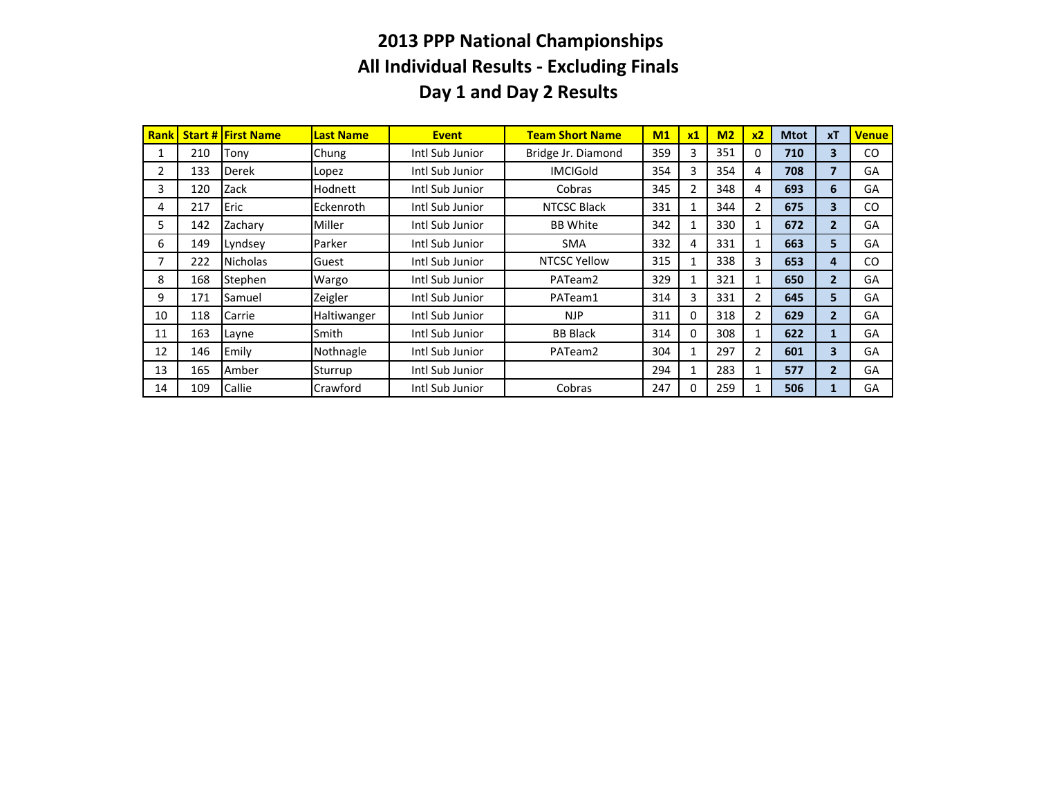| <b>Rank</b> |     | <b>Start # First Name</b> | <b>Last Name</b> | <b>Event</b>    | <b>Team Short Name</b> | M1  | x1             | M <sub>2</sub> | $x^2$ | <b>Mtot</b> | xT                      | <b>Venue</b> |
|-------------|-----|---------------------------|------------------|-----------------|------------------------|-----|----------------|----------------|-------|-------------|-------------------------|--------------|
|             | 210 | Tony                      | Chung            | Intl Sub Junior | Bridge Jr. Diamond     | 359 | 3              | 351            | 0     | 710         | 3                       | CO.          |
| 2           | 133 | <b>Derek</b>              | Lopez            | Intl Sub Junior | <b>IMCIGold</b>        | 354 | 3              | 354            | 4     | 708         | 7                       | GA           |
| 3           | 120 | Zack                      | Hodnett          | Intl Sub Junior | Cobras                 | 345 | $\overline{2}$ | 348            | 4     | 693         | 6                       | GA           |
| 4           | 217 | <b>Eric</b>               | Eckenroth        | Intl Sub Junior | NTCSC Black            | 331 |                | 344            | 2     | 675         | 3                       | CO.          |
| 5.          | 142 | Zachary                   | Miller           | Intl Sub Junior | <b>BB</b> White        | 342 |                | 330            | 1     | 672         | $\overline{2}$          | GA           |
| 6           | 149 | Lyndsey                   | Parker           | Intl Sub Junior | <b>SMA</b>             | 332 | 4              | 331            | 1     | 663         | 5.                      | GA           |
| 7           | 222 | <b>Nicholas</b>           | Guest            | Intl Sub Junior | NTCSC Yellow           | 315 |                | 338            | 3     | 653         | 4                       | CO.          |
| 8           | 168 | Stephen                   | Wargo            | Intl Sub Junior | PATeam <sub>2</sub>    | 329 |                | 321            | 1     | 650         | $\overline{2}$          | GA           |
| 9           | 171 | Samuel                    | Zeigler          | Intl Sub Junior | PATeam1                | 314 | 3              | 331            | 2     | 645         | 5.                      | GA           |
| 10          | 118 | Carrie                    | Haltiwanger      | Intl Sub Junior | <b>NJP</b>             | 311 | 0              | 318            | 2     | 629         | $\overline{2}$          | GA           |
| 11          | 163 | Layne                     | Smith            | Intl Sub Junior | <b>BB Black</b>        | 314 | 0              | 308            | 1     | 622         |                         | GA           |
| 12          | 146 | Emily                     | Nothnagle        | Intl Sub Junior | PATeam <sub>2</sub>    | 304 |                | 297            | 2     | 601         | $\overline{\mathbf{3}}$ | GA           |
| 13          | 165 | Amber                     | Sturrup          | Intl Sub Junior |                        | 294 |                | 283            | 1     | 577         | $\overline{2}$          | GA           |
| 14          | 109 | Callie                    | Crawford         | Intl Sub Junior | Cobras                 | 247 | 0              | 259            |       | 506         |                         | GA           |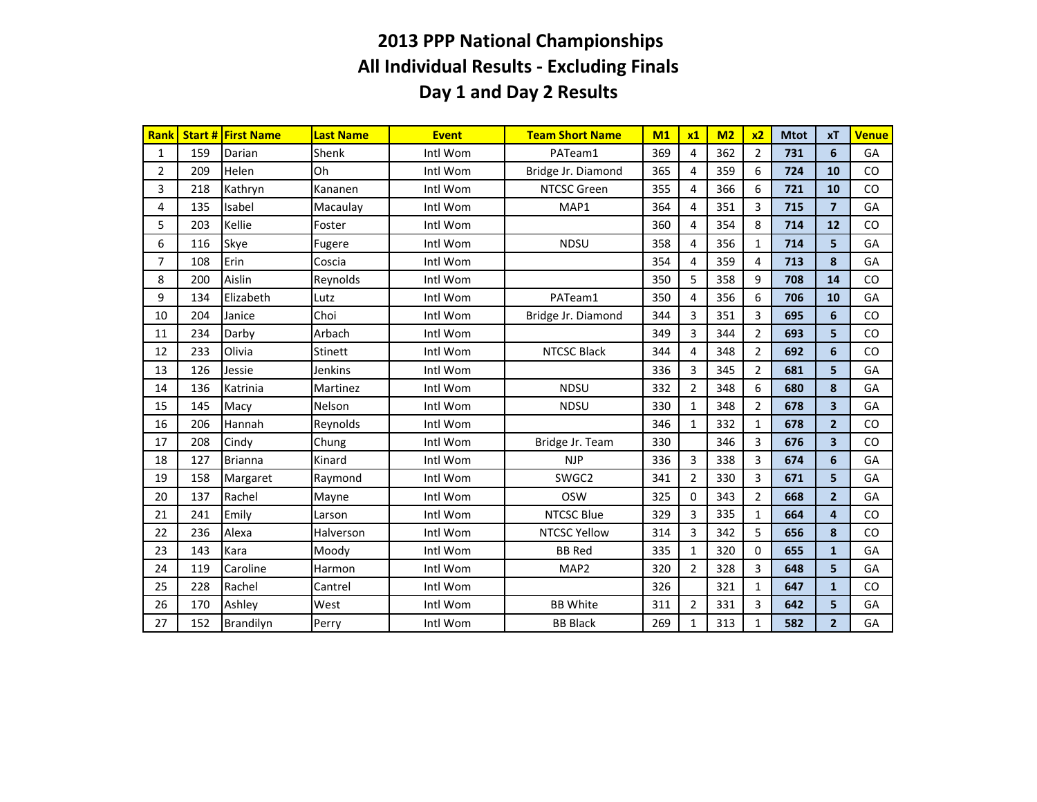| Rank         |     | <b>Start # First Name</b> | <b>Last Name</b> | <b>Event</b> | <b>Team Short Name</b> | M1  | x1             | M <sub>2</sub> | x <sub>2</sub> | <b>Mtot</b> | xT                      | <b>Venue</b> |
|--------------|-----|---------------------------|------------------|--------------|------------------------|-----|----------------|----------------|----------------|-------------|-------------------------|--------------|
| $\mathbf{1}$ | 159 | Darian                    | Shenk            | Intl Wom     | PATeam1                | 369 | 4              | 362            | $\overline{2}$ | 731         | 6                       | GA           |
| 2            | 209 | Helen                     | Oh               | Intl Wom     | Bridge Jr. Diamond     | 365 | 4              | 359            | 6              | 724         | 10                      | <b>CO</b>    |
| 3            | 218 | Kathryn                   | Kananen          | Intl Wom     | <b>NTCSC Green</b>     | 355 | 4              | 366            | 6              | 721         | 10                      | CO           |
| 4            | 135 | Isabel                    | Macaulay         | Intl Wom     | MAP1                   | 364 | 4              | 351            | 3              | 715         | $\overline{7}$          | GA           |
| 5            | 203 | Kellie                    | Foster           | Intl Wom     |                        | 360 | 4              | 354            | 8              | 714         | 12                      | <b>CO</b>    |
| 6            | 116 | Skye                      | Fugere           | Intl Wom     | <b>NDSU</b>            | 358 | 4              | 356            | $\mathbf{1}$   | 714         | 5                       | GA           |
| 7            | 108 | Erin                      | Coscia           | Intl Wom     |                        | 354 | 4              | 359            | 4              | 713         | 8                       | GA           |
| 8            | 200 | Aislin                    | Reynolds         | Intl Wom     |                        | 350 | 5              | 358            | 9              | 708         | 14                      | <b>CO</b>    |
| 9            | 134 | Elizabeth                 | Lutz             | Intl Wom     | PATeam1                | 350 | 4              | 356            | 6              | 706         | 10                      | GA           |
| 10           | 204 | Janice                    | Choi             | Intl Wom     | Bridge Jr. Diamond     | 344 | 3              | 351            | 3              | 695         | 6                       | <b>CO</b>    |
| 11           | 234 | Darby                     | Arbach           | Intl Wom     |                        | 349 | 3              | 344            | $\overline{2}$ | 693         | 5                       | CO           |
| 12           | 233 | Olivia                    | <b>Stinett</b>   | Intl Wom     | <b>NTCSC Black</b>     | 344 | 4              | 348            | $\overline{2}$ | 692         | 6                       | CO           |
| 13           | 126 | Jessie                    | <b>Jenkins</b>   | Intl Wom     |                        | 336 | 3              | 345            | 2              | 681         | 5                       | GA           |
| 14           | 136 | Katrinia                  | Martinez         | Intl Wom     | <b>NDSU</b>            | 332 | $\overline{2}$ | 348            | 6              | 680         | 8                       | GA           |
| 15           | 145 | Macy                      | Nelson           | Intl Wom     | <b>NDSU</b>            | 330 | $\mathbf{1}$   | 348            | $\overline{2}$ | 678         | $\overline{\mathbf{3}}$ | GA           |
| 16           | 206 | Hannah                    | Reynolds         | Intl Wom     |                        | 346 | $\mathbf{1}$   | 332            | $\mathbf{1}$   | 678         | $\overline{2}$          | <b>CO</b>    |
| 17           | 208 | Cindy                     | Chung            | Intl Wom     | Bridge Jr. Team        | 330 |                | 346            | 3              | 676         | $\overline{\mathbf{3}}$ | CO           |
| 18           | 127 | <b>Brianna</b>            | Kinard           | Intl Wom     | <b>NJP</b>             | 336 | 3              | 338            | 3              | 674         | 6                       | GA           |
| 19           | 158 | Margaret                  | Raymond          | Intl Wom     | SWGC2                  | 341 | $\overline{2}$ | 330            | 3              | 671         | 5                       | GA           |
| 20           | 137 | Rachel                    | Mayne            | Intl Wom     | <b>OSW</b>             | 325 | 0              | 343            | $\overline{2}$ | 668         | $\overline{2}$          | GA           |
| 21           | 241 | Emily                     | Larson           | Intl Wom     | <b>NTCSC Blue</b>      | 329 | 3              | 335            | $\mathbf{1}$   | 664         | 4                       | CO           |
| 22           | 236 | Alexa                     | Halverson        | Intl Wom     | <b>NTCSC Yellow</b>    | 314 | 3              | 342            | 5              | 656         | 8                       | <b>CO</b>    |
| 23           | 143 | Kara                      | Moody            | Intl Wom     | <b>BB Red</b>          | 335 | 1              | 320            | 0              | 655         | 1                       | GA           |
| 24           | 119 | Caroline                  | Harmon           | Intl Wom     | MAP <sub>2</sub>       | 320 | $\overline{2}$ | 328            | 3              | 648         | 5                       | GA           |
| 25           | 228 | Rachel                    | Cantrel          | Intl Wom     |                        | 326 |                | 321            | $\mathbf{1}$   | 647         | 1                       | CO           |
| 26           | 170 | Ashley                    | West             | Intl Wom     | <b>BB White</b>        | 311 | $\overline{2}$ | 331            | 3              | 642         | 5                       | GA           |
| 27           | 152 | <b>Brandilyn</b>          | Perry            | Intl Wom     | <b>BB Black</b>        | 269 | 1              | 313            | $\mathbf{1}$   | 582         | $\overline{2}$          | GA           |